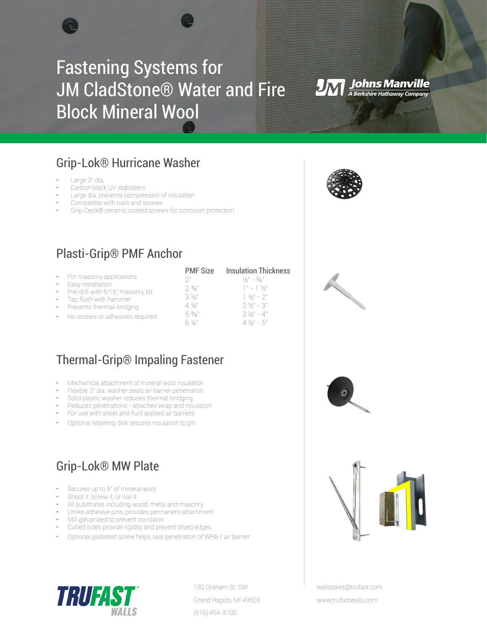# Fastening Systems for JM CladStone® Water and Fire Block Mineral Wool

## Grip-Lok® Hurricane Washer

- Large 3" dia.
- Carbon black UV stabilizers
- Large dia. prevents compression of insulation
- Compatible with nails and screws
- Grip-Deck® ceramic coated screws for corrosion protection

## Plasti-Grip® PMF Anchor

|                                   | <b>PMF Size</b>  | <b>Insulation Thickness</b>                     |
|-----------------------------------|------------------|-------------------------------------------------|
| For masonry applications          | つ "              | $\frac{1}{2}$ /2 $\frac{1}{2}$ /3 $\frac{1}{4}$ |
| Easy installation                 | 2.3/4''          | $T'' - T' \sqrt{2}$                             |
| Pre-drill with 5/16" masonry bit  | $3\%$            | $1\frac{1}{2}$ - 2"                             |
| Tap flush with hammer             | $4\frac{1}{2}$   | $2\frac{1}{2}$ – 3"                             |
| Prevents thermal-bridging         |                  |                                                 |
| • No screws or adhesives required | $5\frac{3}{8}$ " | $3\frac{1}{9}$ " - 4"                           |
|                                   | $6\%$            | $4\frac{1}{9}$ " - 5"                           |

## Thermal-Grip® Impaling Fastener

- Mechanical attachment of mineral wool insulation
- Flexible 2" dia. washer seals air barrier penetration
- Solid plastic washer reduces thermal-bridging
- Reduces penetrations attaches wrap and insulation
- For use with sheet and fluid applied air barriers
- Optional retaining disk secures insulation to pin

## Grip-Lok® MW Plate

- Secures up to 5" of mineral wool
- Shoot it, screw it, or nail it
- All substrates including wood, metal and masonry
- Unlike adhesive pins, provides permanent attachment
- Mill galvanized to prevent corrosion
- Curled sides provide rigidity and prevent sharp edges
- Optional gasketed screw helps seal penetration of WRB / air barrier



130 Graham St. SW Grand Rapids, MI 49503 (616) 454-3100





**JM Johns Manville**